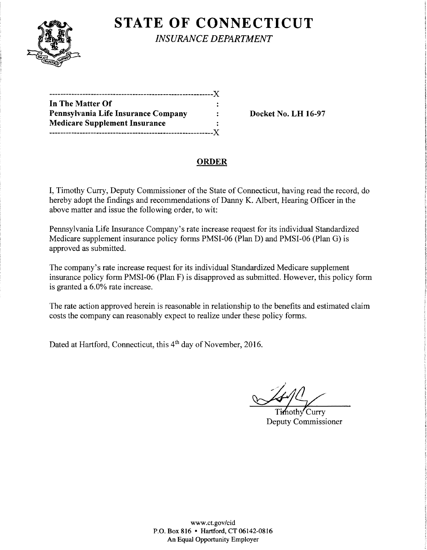

**STATE OF CONNECTICUT** 

*INSURANCE DEPARTMENT* 

| In The Matter Of                     |  |
|--------------------------------------|--|
| Pennsylvania Life Insurance Company  |  |
| <b>Medicare Supplement Insurance</b> |  |
|                                      |  |

Docket No. LH 16-97

## ORDER

I, Timothy Curry, Deputy Commissioner of the State of Connecticut, having read the record, do hereby adopt the findings and recommendations of Danny K. Albert, Hearing Officer in the above matter and issue the following order, to wit:

Pennsylvania Life Insurance Company's rate increase request for its individual Standardized Medicare supplement insurance policy forms PMSI-06 (Plan D) and PMSI-06 (Plan G) is approved as submitted.

The company's rate increase request for its individual Standardized Medicare supplement insurance policy form PMSI-06 (Plan F) is disapproved as submitted. However, this policy form is granted a 6.0% rate increase.

The rate action approved herein is reasonable in relationship to the benefits and estimated claim costs the company can reasonably expect to realize under these policy forms.

Dated at Hartford, Connecticut, this 4<sup>th</sup> day of November, 2016.

'Curry Deputy Commissioner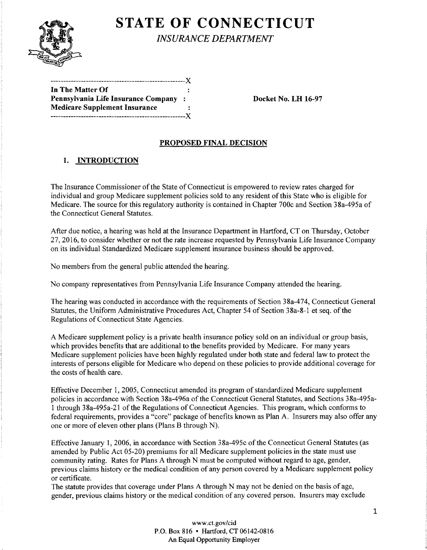

# **STATE OF CONNECTICUT**

*INSURANCE DEPARTMENT* 

| In The Matter Of                     |  |
|--------------------------------------|--|
| Pennsylvania Life Insurance Company  |  |
| <b>Medicare Supplement Insurance</b> |  |
|                                      |  |

Docket No. LH 16-97

## PROPOSED FINAL DECISION

## 1. INTRODUCTION

The Insurance Commissioner of the State of Connecticut is empowered to review rates charged for individual and group Medicare supplement policies sold to any resident of this State who is eligible for Medicare. The source for this regulatory authority is contained in Chapter 700c and Section 38a-495a of the Connecticut General Statutes.

After due notice, a hearing was held at the Insurance Department in Hartford, CT on Thursday, October 27, 2016, to consider whether or not the rate increase requested by Pennsylvania Life Insurance Company on its individual Standardized Medicare supplement insurance business should be approved.

No members from the general public attended the hearing.

No company representatives from Pennsylvania Life Insurance Company attended the hearing.

The hearing was conducted in accordance with the requirements of Section 38a-474, Connecticut General Statutes, the Uniform Administrative Procedures Act, Chapter 54 of Section 38a-8-1 et seq. of the Regulations of Connecticut State Agencies.

A Medicare supplement policy is a private health insurance policy sold on an individual or group basis, which provides benefits that are additional to the benefits provided by Medicare. For many years Medicare supplement policies have been highly regulated under both state and federal law to protect the interests of persons eligible for Medicare who depend on these policies to provide additional coverage for the costs of health care.

Effective December 1, 2005, Connecticut amended its program of standardized Medicare supplement policies in accordance with Section 38a-496a of the Connecticut General Statutes, and Sections 38a-495a-1 through 38a-495a-21 of the Regulations of Connecticut Agencies. This program, which conforms to federal requirements, provides a "core" package of benefits known as Plan A. Insurers may also offer any one or more of eleven other plans (Plans B through N).

Effective January 1, 2006, in accordance with Section 38a-495c of the Connecticut General Statutes (as amended by Public Act 05-20) premiums for all Medicare supplement policies in the state must use community rating. Rates for Plans A through N must be computed without regard to age, gender, previous claims history or the medical condition of any person covered by a Medicare supplement policy or certificate.

The statute provides that coverage under Plans A through N may not be denied on the basis of age, gender, previous claims history or the medical condition of any covered person. Insurers may exclude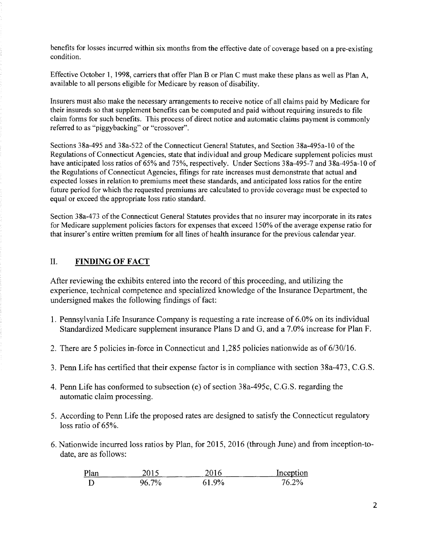benefits for losses incurred within six months from the effective date of coverage based on a pre-existing condition.

Effective October 1, 1998, carriers that offer Plan B or Plan C must make these plans as well as Plan A, available to all persons eligible for Medicare by reason of disability.

Insurers must also make the necessary arrangements to receive notice of all claims paid by Medicare for their insureds so that supplement benefits can be computed and paid without requiring insureds to file claim forms for such benefits. This process of direct notice and automatic claims payment is commonly referred to as "piggybacking" or "crossover".

Sections 38a-495 and 38a-522 of the Connecticut General Statutes, and Section 38a-495a-10 of the Regulations of Connecticut Agencies, state that individual and group Medicare supplement policies must have anticipated loss ratios of 65% and 75%, respectively. Under Sections 38a-495-7 and 38a-495a-10 of the Regulations of Connecticut Agencies, filings for rate increases must demonstrate that actual and expected losses in relation to premiums meet these standards, and anticipated loss ratios for the entire future period for which the requested premiums are calculated to provide coverage must be expected to equal or exceed the appropriate loss ratio standard.

Section 38a-473 of the Connecticut General Statutes provides that no insurer may incorporate in its rates for Medicare supplement policies factors for expenses that exceed 150% ofthe average expense ratio for that insurer's entire written premium for all lines of health insurance for the previous calendar year.

### II. **FINDING OF FACT**

After reviewing the exhibits entered into the record of this proceeding, and utilizing the experience, technical competence and specialized knowledge of the Insurance Department, the undersigned makes the following findings of fact:

- 1. Pennsylvania Life Insurance Company is requesting a rate increase of 6.0% on its individual Standardized Medicare supplement insurance Plans D and G, and a 7.0% increase for Plan F.
- 2. There are 5 policies in-force in Connecticut and 1,285 policies nationwide as of 6/30/16.
- 3. Penn Life has certified that their expense factor is in compliance with section 38a-473, C.G.S.
- 4. Penn Life has conformed to subsection (e) of section 38a-495c, C.G.S. regarding the automatic claim processing.
- 5. According to Penn Life the proposed rates are designed to satisfy the Connecticut regulatory loss ratio of 65%.
- 6. Nationwide incurred loss ratios by Plan, for 2015, 2016 (through June) and from inception-todate, are as follows:

| Plan |            | 2016   | Inception |
|------|------------|--------|-----------|
| D    | 7%<br>Jh - | $.9\%$ | 2%        |